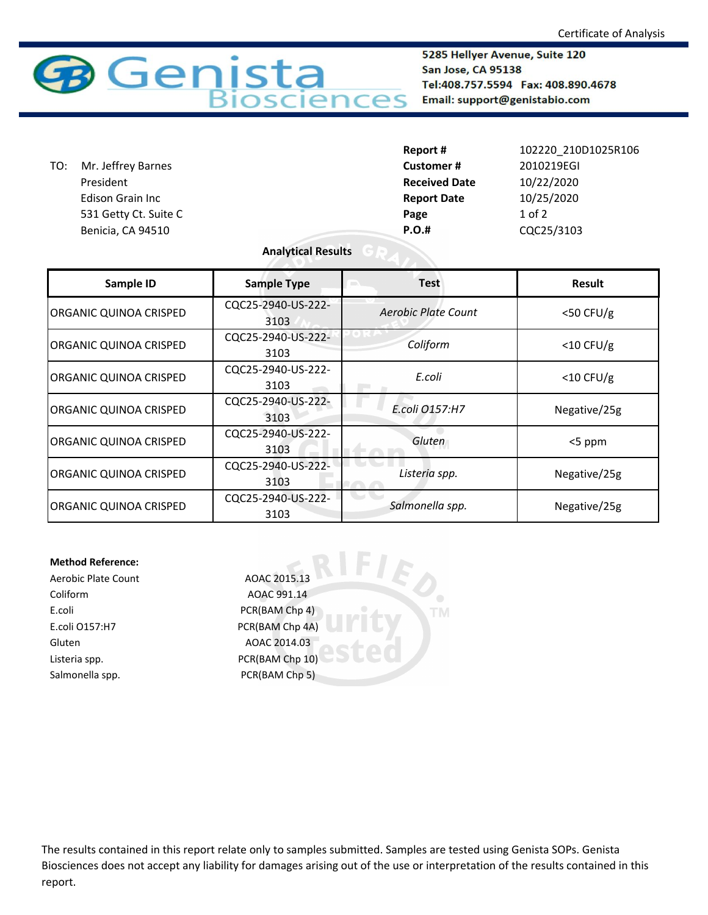

5285 Hellyer Avenue, Suite 120 San Jose, CA 95138 Tel:408.757.5594 Fax: 408.890.4678 Email: support@genistabio.com

| TO: | Mr. Jeffrey Barnes    |  |
|-----|-----------------------|--|
|     | President             |  |
|     | Edison Grain Inc      |  |
|     | 531 Getty Ct. Suite C |  |
|     | Benicia, CA 94510     |  |

|     |                       | Report #             | 102220 210D1025R106 |
|-----|-----------------------|----------------------|---------------------|
| TO: | Mr. Jeffrey Barnes    | <b>Customer#</b>     | 2010219EGI          |
|     | President             | <b>Received Date</b> | 10/22/2020          |
|     | Edison Grain Inc      | <b>Report Date</b>   | 10/25/2020          |
|     | 531 Getty Ct. Suite C | Page                 | $1$ of $2$          |
|     | Benicia, CA 94510     | $P.O.$ #             | CQC25/3103          |
|     |                       |                      |                     |

## **Analytical Results**

| Sample ID                     | <b>Sample Type</b>         | <b>Test</b>         | <b>Result</b> |
|-------------------------------|----------------------------|---------------------|---------------|
| ORGANIC QUINOA CRISPED        | CQC25-2940-US-222-<br>3103 | Aerobic Plate Count | $<$ 50 CFU/g  |
| ORGANIC QUINOA CRISPED        | CQC25-2940-US-222-<br>3103 | Coliform            | $<$ 10 CFU/g  |
| <b>ORGANIC QUINOA CRISPED</b> | CQC25-2940-US-222-<br>3103 | E.coli              | $<$ 10 CFU/g  |
| <b>ORGANIC QUINOA CRISPED</b> | CQC25-2940-US-222-<br>3103 | E.coli 0157:H7      | Negative/25g  |
| ORGANIC QUINOA CRISPED        | CQC25-2940-US-222-<br>3103 | Gluten              | <5 ppm        |
| <b>ORGANIC QUINOA CRISPED</b> | CQC25-2940-US-222-<br>3103 | Listeria spp.       | Negative/25g  |
| ORGANIC QUINOA CRISPED        | CQC25-2940-US-222-<br>3103 | Salmonella spp.     | Negative/25g  |

**TM** 

## **Method Reference:**

Aerobic Plate Count AOAC 2015.13 Coliform AOAC 991.14 E.coli PCR(BAM Chp 4) E.coli O157:H7 PCR(BAM Chp 4A) Gluten AOAC 2014.03 Listeria spp. The CR(BAM Chp 10) Salmonella spp. PCR(BAM Chp 5)

The results contained in this report relate only to samples submitted. Samples are tested using Genista SOPs. Genista Biosciences does not accept any liability for damages arising out of the use or interpretation of the results contained in this report.